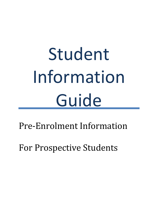# Student Information **Guide**

Pre-Enrolment Information

For Prospective Students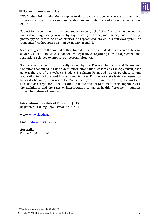

IIT's Student Information Guide applies to all nationally recognised courses, products and services that lead to a formal qualification and/or statements of attainment under the AQTF.

Subject to the conditions proscribed under the Copyright Act of Australia, no part of this publication may, in any form or by any means (electronic, mechanical, micro copying, photocopying, recording or otherwise), be reproduced, stored in a retrieval system or transmitted without prior written permission from IIT.

Students agree that the content of this Student Information Guide does not constitute legal advice. Students should seek independent legal advice regarding how this agreement and regulations referred to impact your personal situation.

Students are deemed to be legally bound by our Privacy Statement and Terms and Conditions contained in this Student Information Guide (collectively the Agreement) that govern the use of the website, Student Enrolment Form and use of, purchase of and application to the Approved Products and Services. Furthermore, students are deemed to be legally bound by their use of the Website and/or their agreement to pay and/or their selection or acceptance of the Declaration in the Student Enrolment Form, together with the definitions and the rules of interpretation contained in this Agreement. Inquiries should be addressed directly to:

# **International Institute of Education (IIT)**

Registered Training Organisation No. 21421

**www**: [www.iit.edu.au](http://www.iit.edu.au/)

**Email**: [education@iit.edu.au](mailto:education@iit.edu.au)

# **Australia**:

Phone: 1300 88 33 46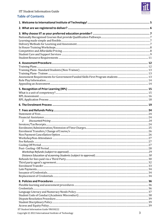# **Table of Contents**

| 2.                                     |  |
|----------------------------------------|--|
|                                        |  |
|                                        |  |
|                                        |  |
|                                        |  |
|                                        |  |
|                                        |  |
|                                        |  |
|                                        |  |
|                                        |  |
|                                        |  |
|                                        |  |
|                                        |  |
|                                        |  |
|                                        |  |
|                                        |  |
|                                        |  |
|                                        |  |
|                                        |  |
|                                        |  |
|                                        |  |
|                                        |  |
|                                        |  |
|                                        |  |
| IIT Student Information Guide VR030222 |  |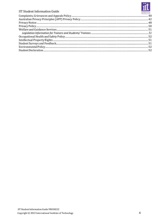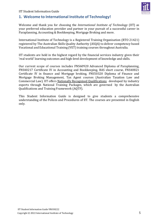

# <span id="page-4-0"></span>**1. Welcome to International Institute of Technology!**

Welcome and thank you for choosing the *International Institute of Technology* (IIT) as your preferred education provider and partner in your pursuit of a successful career in Paraplanning, Accounting & Bookkeeping, Mortgage Broking and more.

International Institute of Technology is a Registered Training Organisation (RTO 21421) registered by The Australian Skills Quality Authority (ASQA) to deliver competency based Vocational and Educational Training (VET) training courses throughout Australia.

IIT students are held in the highest regard by the financial services industry given their 'real world' learning outcomes and high-level development of knowledge and skills.

Our current scope of courses includes FNS60920 Advanced Diploma of Paraplanning, FNS40217 Certificate IV in Accounting and Bookkeeping, BAS short course, FNS40821 Certificate IV in finance and Mortgage broking, FNS50320 Diploma of Finance and Mortgage Broking Management, Tax Agent courses (Australian Taxation Law and Commercial Law). IIT offers Nationally Recognised Qualifications developed by industry experts through National Training Packages, which are governed by the Australian Qualifications and Training Framework (AQTF).

This Student Information Guide is designed to give students a comprehensive understanding of the Polices and Procedures of IIT. The courses are presented in English only.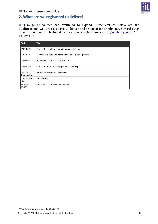

# <span id="page-5-0"></span>**2. What are we registered to deliver?**

IIT's range of courses has continued to expand. These courses below are the qualifications we are registered to deliver and are open for enrolments. Several other units and courses can be found on our scope of registration at- $\frac{http://training.gov.au/}{http://training.gov.au/}$  $\frac{http://training.gov.au/}{http://training.gov.au/}$  $\frac{http://training.gov.au/}{http://training.gov.au/}$ RTO 21421.

| Code                               | Title                                              |
|------------------------------------|----------------------------------------------------|
| <b>FNS40821</b>                    | Certificate IV in Finance and Mortgage Broking     |
| <b>FNS50320</b>                    | Diploma of Finance and Mortgage Broking Management |
| <b>FNS60920</b>                    | Advanced Diploma of Paraplanning                   |
| <b>FNS40217</b>                    | Certificate IV in Accounting and Bookkeeping       |
| lAustralian<br><b>Taxation Law</b> | Introductory and Advanced Units                    |
| <b>Commercial</b><br>lLaw          | 3 Core units                                       |
| <b>BAS</b> short<br><b>course</b>  | FNSTPB401 and FNSTPB402 units                      |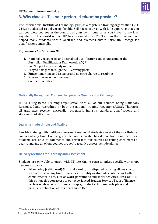

# <span id="page-6-0"></span>**3. Why choose IIT as your preferred education provider?**

The International Institute of Technology ('IIT') is a registered training organisation (RTO 21421) dedicated to delivering flexible, Self paced courses with full support so that you can complete courses in the comfort of your own home or as you travel to work or anywhere in the world online. IIT has operated since 2003 and in that time we have helped many students within Australia and overseas obtain nationally recognised qualifications and skills.

#### *Top reasons to study with IIT:*

- 1. Nationally recognised and accredited qualifications and courses under the Australian Qualifications Framework. (AQF)
- 2. Full Support as you study online
- 3. Easy to navigate through the E-learning portal
- 4. Efficient marking and issuance and no extra charge to resubmit
- 5. Easy online enrolment process
- 6. Competitive rates

# <span id="page-6-1"></span>**Nationally Recognised Coursesthat provide Qualification Pathways.**

IIT is a Registered Training Organisation with all of our courses being Nationally Recognised and Accredited by both the national training regulator (ASQA). Therefore, all graduates receive nationally recognised, industry standard qualifications and statements of attainment.

#### <span id="page-6-2"></span>**Learning made simple and flexible**

Flexible training with multiple assessment methods! Students can start their skills-based courses at any time. Our programs are not 'semester based' like traditional providers. Students are able to commence and enroll into our courses as rolling enrolments all year round and all of our courses are self-paced. No assessment deadlines!

#### <span id="page-6-3"></span>**Delivery Methodsfor Learning and Assessment**

Students are only able to enroll with IIT into Online courses unless specific workshops become available.

• **E-Learning (self-paced) Study**: eLearning or self-paced learning allows you to start a course at any time. It provides flexibility as students continue with other commitments in life, such as work, parenthood and social activities. BEST OF ALL this option give you access to our experienced Student Services Team of finance professionals who can discuss concepts, conduct skill-based role plays and provide feedback on assessments submitted.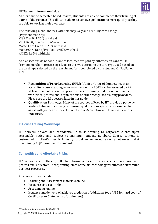

As there are no semester-based intakes, students are able to commence their training at a time of their choice. This allows students to achieve qualifications more quickly as they are able to work at their own pace.

The following merchant fees withheld may vary and are subject to change: (Payment made by) VISA Credit: 1.35% withheld VISA Debit/Pre-Paid: 0.66& withheld MasterCard Credit: 1.21% withheld MasterCard Debit/Pre-Paid: 0.95% withheld AMEX: 1.65% withheld

As transactions do not occur face to face, fees are paid by either credit card MOTO (remote merchant processing). Due to this we determine the card type used based on the card type selected on the enrolment form completed by the student. Or PayPal or EFT.

- **Recognition of Prior Learning (RPL)**: A Unit or Units of Competency in an accredited course leading to an award under the AQTF can be assessed by RPL. RPL assessment is based on prior courses or training undertaken within the workplace, professional organisations or other recognised training providers. Please see the RPL section later in this guide.
- **Qualification Pathways**: Many of the courses offered by IIT provide a pathway leading to higher nationally recognised qualifications specifically designed to assist with your career development in the Accounting and Financial Services Industries.

# <span id="page-7-0"></span>**In House Training Workshops**

IIT delivers private and confidential in-house training to corporate clients upon reasonable notice and subject to minimum student numbers. Course content is customised to client's specific industry to deliver enhanced learning outcomes whilst maintaining AQTF compliance standards.

# <span id="page-7-1"></span>**Competitive and Affordable Pricing**

IIT operates an efficient, effective business based on experience, in-house and professional educators, incorporating 'state of the art' technology resources to streamline business processes.

All course prices include:

- Learning and Assessment Materials online
- Resource Materials online
- Assessments online
- Issuance and delivery of achieved credentials (additional fee of \$35 for hard copy of Certificates or Statements of attainment)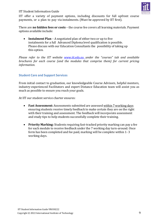

IIT offer a variety of payment options, including discounts for full upfront course payments, or a plan to pay via instalments. (Must be approved by IIT first).

There are **no hidden fees or costs** – the course fee covers all learning materials. Payment options available include:

• **Instalment Plan** – A negotiated plan of either two or up to five instalments for a full Advanced Diploma level qualification is possible. Please discuss with our Education Consultants the possibility of taking up this option.

*Please refer to the IIT website [www.iit.edu.au](http://www.iit.edu.au/) under the "courses" tab and available brochures for each course (and the modules that comprise them) for current pricing information.*

# <span id="page-8-0"></span>**Student Care and Support Services**

From initial contact to graduation, our knowledgeable Course Advisors, helpful mentors, industry-experienced Facilitators and expert Distance Education team will assist you as much as possible to ensure you reach your goals.

At IIT our student service charter ensures:

- **Fast Assessment:** Assessments submitted are assessed within 7 working days ensuring students receive timely feedback to make certain they are on the right with their training and assessment. The feedback will incorporate assessment and study tips to help students successfully complete their training.
- **Priority Marking:** Students requiring fast-tracked priority marking can pay a fee for each module to receive feedback under the 7 working day turn-around. Once form has been completed and fee paid, marking will be complete within 1- 3 working days.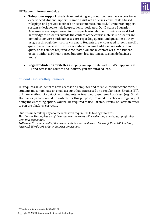

- **Telephone Support:**Students undertaking any of our courses have access to our experienced Student Support Team to assist with queries, conduct skill-based role plays and provide feedback on assessments submitted. Our mentor support system is designed to help keep students motivated. Our Distance Education Assessors are all experienced industry professionals. Each provides a wealth of knowledge to students outside the content of the course materials. Students are invited to converse with our assessors regarding queries and questions as they progress through their course via email. Students are encouraged to send specific questions or queries to the distance education email address regarding their query or assistance required. A facilitator will make contact with the student usually within a 24 hour period but often less (as long as it is inside business hours).
- **Regular Student Newsletters** keeping you up to date with what's happening at IIT and across the courses and industry you are enrolled into.

# <span id="page-9-0"></span>**Student Resource Requirements**

IIT requires all students to have access to a computer and reliable Internet connection. All students must nominate an email account that is accessed on a regular basis. Email is IIT's primary method of contact with students. A free web based email address (e.g. Gmail, Hotmail or yahoo) would be suitable for this purpose, provided it is checked regularly. If doing the eLearning option, you will be required to use Chrome, Firefox or Safari in order to run the platform correctly.

Students undertaking any of our courses will require the following resources: *Hardware- To complete all of the assessmentslearners will need a computer/laptop, preferably with USB capabilities. Software- To complete all of the assessments learners will need a Microsoft Excel 2003 or later, Microsoft Word 2003 or later, Internet Connection.*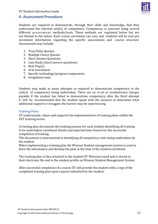

# <span id="page-10-0"></span>**4. Assessment Procedure**

Students are required to demonstrate, through their skills and knowledge, that they understand the relevant unit(s) of competency. Competency is assessed using several different assessment methods/tools. These methods are explained below but are not limited to the below. Each course enrolment can vary and students will be sent pre enrolment information regarding the specific assessments and course structure. Assessments may include;

- 1. True/False Quizzes
- 2. Multiple Choice Quizzes
- 3. Short Answer Questions
- 4. Case Study (short answer questions)
- 5. Role Play(s)
- 6. Oral assessment
- 7. Specific technology/program components
- 8. Invigilated exam

Students may make as many attempts as required to demonstrate competency in the unit(s) of competency being undertaken. There are no re-sit or resubmission charges payable. If the student has failed to demonstrate competency after the third attempt it will be recommended that the student speak with the assessor to determine what additional support or struggles the learner may be experiencing.

# <span id="page-10-1"></span>**Training Plans**

IIT understands, values and supports the implementation of training plans within the VET training sector.

A training plan documents the training journey for each student identifying all training to be undertaken, enrolment details and expected time-frames for the successful completion of training.

This document is instrumental in identifying all competency units being undertaken by the student.

When implementing a training plan the Wisenet Student management system is used to draw the information and develop the plan at the time of the student enrolment.

The training plan is then attached to the student IIT Welcome email and is stored in their electronic file and in the student profile on Wisenet Student Management System.

After successful completion of a course IIT will provide the student with a copy of the completed training plan upon request submitted by the student.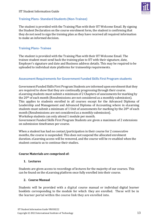<span id="page-11-0"></span>

The student is provided with the Training Plan with their IIT Welcome Email. By signing the Student Declaration on the course enrolment form, the student is confirming that they do not need to sign the training plan as they have received all required information to make an informed decision.

# <span id="page-11-1"></span>**Training Plans- Trainee**

The student is provided with the Training Plan with their IIT Welcome Email. The trainee student must send back the training plan to IIT with their signature, date, Employer's signature and date and Business address details. This may be required to be uploaded to individual state platforms for traineeship requirements.

# <span id="page-11-2"></span>**Assessment Requirementsfor Government Funded Skills First Program students**

Government Funded Skills First Program Students are informed upon enrolment that they are required to show that they are continually progressing through their course. eLearning students must submit a minimum of 2 Chapters of assessments for marking by the 20th of each month (Resubmissions are not considered as a monthly submission). This applies to students enrolled in all courses except for the Advanced Diploma of Leadership and Management and Advanced Diploma of Accounting where in eLearning students must submit a minimum of 1 Unit of assessments for marking by the 20<sup>th</sup> of each month (Resubmissions are not considered as a monthly submission). Workshop students can only attend 1 module per month.

Government Funded Skills First Program Students are given a maximum of 2 extensions on submission timeframes per course.

When a student has had no contact/participation in their course for 2 consecutive months, the course is suspended. This does not suspend the allocated enrolment duration. eLearning access will be removed, and the course will be re-enabled when the student contacts us to continue their studies.

#### **Course Materials are comprised of:**

#### **1. Lectures**

Students are given access to recordings of lectures for the majority of our courses. This can be found on the eLearning platform once fully enrolled into their course.

#### **2. Course Manual**

Students will be provided with a digital course manual or individual digital learner booklets corresponding to the module for which they are enrolled. These will be in the learner portal within the course link they are enrolled into.

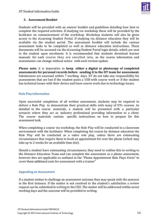

# **3. Assessment Booklet**

Students will be provided with an answer booklet and guidelines detailing how best to complete the required activities. If studying via workshop these will be provided by the facilitator on commencement of the workshop. Workshop students will also be given access to the eLearning Student Portal. If studying via distance education they will be available via the student portal. The assessment booklet will include the various assessment tasks to be completed as well as distance education instructions. These documents will be accessed via the eLearning Student Portal login details, which are sent to the student upon enrolment. It is recommended that students download learner manuals for each course they are enrolled into, as the course information and assessments can change without notice with each version update.

**Please note**; it is imperative to **keep either a digital or photocopy of completed assessments for personal records before sending it to the IIT team for assessment.** Submissions are assessed within 7 working days. IIT do not take any responsibility for assessments that are lost if the student posts a USB with course work or if the student has technical issues with their device and loses course work due to technology issues.

# <span id="page-12-0"></span>**Role Play Information**

Upon successful completion of all written assessment, students may be required to deliver a Role Play to demonstrate their practical skills with many of IITs courses. As detailed in the course materials, a student will be presented with a particular scenario where they act as industry professional providing information to a client. The course materials contain specific instructions on how to prepare for this assessment task.

When completing a course via workshop, the Role Play will be conducted in a classroom environment with the facilitator. When completing the course by distance education the Role Play will be conducted as a video role play, unless there are extenuating circumstances that require them to book an appointment for over the phone (which may take up to 2 weeks for an available time slot).

Should a student have extenuating circumstances, they need to outline this in writing to the Distance Education Team and can complete the assessment as a phone assessment, however fees are applicable as outlined in the "Phone Appointment Role Plays Form" to cover these additional costs for assessment with a trainer"

# <span id="page-12-1"></span>**Appealing an Assessment**

If a student wishes to challenge an assessment outcome they may speak with the assessor in the first instance. If the matter is not resolved to the student's satisfaction a review request can be submitted in writing to the CEO. The matter will be addressed within seven working days and the outcome will be provided in writing.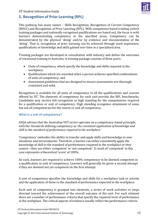

# <span id="page-13-0"></span>**5. Recognition of Prior Learning (RPL)**

This pathway has many names – Skills Recognition, Recognition of Current Competency (ROCC) and Recognition of Prior Learning (RPL). With competency based training (which training packages and nationally recognised qualifications are based on), the focus is with learners demonstrating competency in the specified areas. Competency can be demonstrated by the physical 'doing' and/or by evidence and documentation of the 'doing'. That is, recognition of prior learning can be achieved through work experience, qualifications or knowledge and skills gained over time in a specialised area.

Training packages are developed in consultation with industry and define the outcomes of vocational training in Australia. A training package consists of three parts:

- Units of competency, which specify the knowledge and skills required in the workplace;
- Qualifications which are awarded when a person achieves specified combinations of units of competency; and
- Assessment guidelines that are designed to ensure assessments are thorough, consistent and valid.

Recognition is available for all units of competency in all the qualifications and courses offered by IIT. The elements of competency for each unit provide the RPL benchmarks. Candidates may receive full recognition or high standing for the competencies required for a qualification or unit of competency. High standing recognises attainment of some but not all competencies for the course or unit of competency.

# <span id="page-13-1"></span>**What is a unit of competency?**

ASQA advises that the Australian VET sector operates on a competency-based principle, with the *Standards* defining competency as '*the consistent application of knowledge and skill to the standard of performance required in the workplace.'*

'Competency' embodies the ability to transfer and apply skills and knowledge to new situations and environments. Therefore, a learner can either consistently apply the knowledge of skill to the standard of performance required in the workplace or they cannot—they are either 'competent' or 'not competent'. A result of 'competent' in this case represents a theoretical 'score' of 100%.

As such, learners are required to achieve 100% competency to be deemed competent in a qualification or unit of competency. Learners will generally be given a second attempt if they are deemed not yet competent on the first attempt.

A unit of competency specifies the knowledge and skills for a workplace task or activity and the application of these to the standard of performance expected in the workplace.

Each unit of competency is grouped into elements, a series of work activities or steps directed toward the achievement of the overall outcome of the unit. For each element there are a number of performance criteria that specify the required level of performance in the workplace. The critical aspects of evidence usually reflect the performance criteria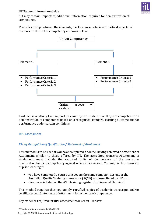

but may contain important, additional information required for demonstration of competence.

The relationship between the elements, performance criteria and critical aspects of evidence to the unit of competency is shown below:



Evidence is anything that supports a claim by the student that they are competent or a demonstration of competence based on a recognised standard, learning outcome and/or performance under certain conditions.

#### <span id="page-14-0"></span>**RPL Assessment**

#### *RPL by Recognition of Qualification / Statement of Attainment*

This method is to be used if you have completed a course, having achieved a Statement of Attainment, similar to those offered by IIT. The accredited transcript/Statement of attainment must include the required Units of Competency of the particular qualification/units of competency against which it is assessed. You may seek recognition of prior learning if:

- you have completed a course that covers the same competencies under the Australian Quality Training Framework (AQTF) as those offered by IIT; and
- the course is listed on the ASIC training register (for Financial Planning).

This method requires that you supply **certified** copies of academic transcripts and/or certificates and Statements of Attainment for evidence of competency.

Key evidence required for RPL assessment for Credit Transfer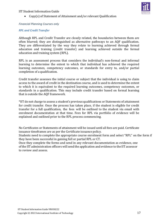

• Copy(s) of Statement of Attainment and/or relevant Qualification

# *Financial Planning Courses only*

# *RPL and Credit Transfer*

Although RPL and Credit Transfer are closely related, the boundaries between them are often blurred; they are distinguished as alternative pathways to an AQF qualification. They are differentiated by the way they relate to learning achieved through formal education and training (credit transfer) and learning achieved outside the formal education and training system (RPL).

RPL is an assessment process that considers the individual's non-formal and informal learning to determine the extent to which that individual has achieved the required learning outcomes, competency outcomes, or standards for entry to, and/or partial completion of a qualification.

Credit transfer assesses the initial course or subject that the individual is using to claim access to the award of credit in the destination course, and is used to determine the extent to which it is equivalent to the required learning outcomes, competency outcomes, or standards in a qualification. This may include credit transfer based on formal learning that is outside the AQF framework.

\*IIT do not charge to assess a student's previous qualifications or Statements of attainment for credit transfer. Once the process has taken place, if the student is eligible for credit transfer for a full qualification, the fees will be outlined to the student via email with enrolment documentation at that time. Fees for RPL via portfolio of evidence will be explained and outlined prior to the RPL process commencing.

No Certificates or Statements of attainment will be issued until all fees are paid. Certificate issuance timeframes are as per the Certificate issuance policy.

Students need to complete the appropriate course enrolment form and select "RPL" on the form if they have been successful in gaining full or partial RPL or CT.

Once they complete the forms and send in any relevant documentation as evidence, one of the IIT administration officers will send the application and evidence to the IIT assessor to review and assess.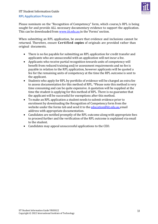

#### <span id="page-16-0"></span>**RPL Application Process**

Please nominate on the "Recognition of Competency" form, which course/s RPL is being sought for and provide ALL necessary documentary evidence to support the application. This can be downloaded from [www.iit.edu.au](http://www.iit.edu.au/) in the 'Forms' section.

When submitting an RPL application, be aware that evidence and inclusions cannot be returned. Therefore, ensure **Certified copies** of originals are provided rather than original documents.

- There is no fee payable for submitting an RPL application for credit transfer and applicants who are unsuccessful with an application will not incur a fee.
- Applicants who receive partial recognition towards units of competency will benefit from reduced training and/or assessment requirements and no fee is payable in relation to the RPL application, however applicants will be quoted a fee for the remaining units of competency at the time the RPL outcome is sent to the applicant.
- Students who apply for RPL by portfolio of evidence will be charged an extra fee to assess documentation for this method of RPL. \*Please note this method is very time consuming and can be quite expensive. A quotation will be supplied at the time the student is applying for this method of RPL. There is no guarantee that the applicant will be successful for exemptions after this method.
- To make an RPL application a student needs to submit evidence prior to enrolment by downloading the Recognition of Competency form from the website under the forms tab and send it to the [education@iit.edu.au](mailto:education@iit.edu.au) email address with appropriate documentation.
- Candidates are notified promptly of the RPL outcome along with appropriate fees to proceed further and the verification of the RPL outcome is explained via email to the student.
- Candidates may appeal unsuccessful applications to the CEO.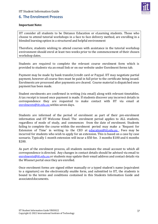

# <span id="page-17-0"></span>**6. The Enrolment Process**

# **Important Note:**

IIT consider all students to be Distance Education or eLearning students. Those who choose to attend tutorial workshops in a face to face delivery method, are enrolling in a blended learning option in a structured and helpful environment

Therefore, students wishing to attend courses with assistance in the tutorial workshop environment should enrol at least two weeks prior to the commencement of their chosen workshop dates.

Students are required to complete the relevant course enrolment form which is provided to students via an email link or on our website under Enrolment forms tab.

Payment may be made by bank transfer/credit card or Paypal. IIT may negotiate partial payment, however all course fees must be paid in full prior to the certificate being issued. Enrolments are processed after payments are cleared. Course material is dispatched once payment has been made.

Student enrolments are confirmed in writing (via email) along with relevant timetables. A tax receipt is issued once payment is made. If students discover any incorrect details in correspondence they are requested to make contact with IIT via email at [enrolments@iit.edu.au](mailto:enrolments@iit.edu.au) within seven days.

Students are informed of the period of enrolment as part of their pre-enrolment information and IIT Welcome Email. The enrolment period applies to ALL students, regardless of mode of study, and commences from the date of enrolment. Students failing to complete the course within the enrolment period may make a 'Request for Extension of Time' in writing to the CEO at [education@iit.edu.au](mailto:education@iit.edu.au) . Fees may be incurred for students who wish to apply for an extension. This is based on a case by case scenario. Typically 1 month extension will incur a \$50 fee. 3 months \$100 and 6 months \$200.

As part of the enrolment process, all students nominate the email account to which all correspondence is directed. Any changes in contact details should be advised via email to [enrolments@iit.edu.au](mailto:enrolments@iit.edu.au) or students may update their email address and contact details via the Wisenet portal once they are enrolled.

Once enrolment forms are signed either manually or a typed student's name (equivalent to a signature) on the electronically enable form, and submitted to IIT, the students is bound to the terms and conditions contained in this Students Information Guide and associated documents.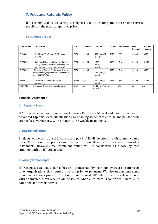# <span id="page-18-0"></span>**7. Fees and Refunds Policy**

IIT is committed to delivering the highest quality training and assessment services possible at the most competitive price.

| <b>Course Code</b> | <b>Course Title</b>                                                                                                     | D.E    | Blended | <b>Duration</b>            | <b>Tuition</b> | Concession | Govt.<br>Payment | Gov. RPL<br>Payment |
|--------------------|-------------------------------------------------------------------------------------------------------------------------|--------|---------|----------------------------|----------------|------------|------------------|---------------------|
| FNS40821           | Certificate IV in Finance & Mortgage<br><b>Broking</b>                                                                  | \$650  | \$1199  | 535 hours/12<br>months     | \$275          | \$55       | \$3445           | \$863.9             |
| <b>FNS50320</b>    | Diploma of Finance & Mortgage Broking<br>Management (if you have not completed<br>pre requisite units from FNS40815/21) | \$950  | \$2199  | 1070<br>hours/24<br>months | \$550          | N/A        | \$4590           | \$1147              |
| FNS50320           | Diploma of Finance & Mortgage Broking<br>Management (upgrade if you already hold<br>the FNS40815/21)                    | \$650  | \$1199  | 535 hours/12<br>months     | \$375          | N/A        | \$3210           | \$802.5             |
| FNS40217           | Certificate IV in Accounting and<br><b>Bookkeeping</b>                                                                  | \$1399 | n/a     | 710 hours/12<br>months     | \$275          | \$55       | \$4290           | \$1075.8            |
| FNS60920           | Advanced Diploma of Paraplanning                                                                                        | \$1799 | n/a     | 632 hours/18<br>months     | n/a            | n/a        | n/a              | n/a                 |

# <span id="page-18-1"></span>**Statement of Fees**

#### <span id="page-18-2"></span>**Financial Assistance**

#### **1. Payment Plans**

IIT provides a payment plan option for some Certificate IV level and most Diploma and Advanced Diploma level qualifications, by enabling students to enrol in and pay for their course fees over either 2, 3 or 4 monthly or 6 weekly instalments.

#### <span id="page-18-3"></span>2. **Discounted Pricing**

Students who elect to enrol in course and pay in full will be offered a discounted course price. This discounted price cannot be paid in two, three or up to a maximum of 5 instalments. However, the instalment option will be considered, as a case by case situation with an IIT consultant.

#### <span id="page-18-4"></span>**Invoices/TaxReceipts**

IIT recognises student's course fees are at times paid by their employers, associations, or other organisations that require invoices prior to payment. We also understand some individual students prefer this option. Upon request, IIT will furnish the relevant body with an invoice. A tax receipt will be issued when enrolment is confirmed. There is no additional fee for this service.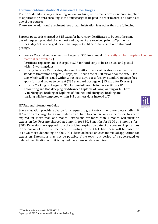### <span id="page-19-0"></span>**Enrolment/Administration/Extension of Time Charges**

The price detailed in any marketing, on our website, or in email correspondence supplied to applicants prior to enrolling, is the only charge to be paid in order to enrol and complete one of our courses

There are no additional enrolment fees or administration fees other than the following:

Express postage is charged at \$15 extra for hard copy Certificates to be sent the same day of request, provided the request and payment are received prior to 2pm on a business day. \$35 is charged for a Hard copy of Certificates to be sent with standard postage.

- Course Material replacement is charged at \$35 for manual. (Currently No hard copies of course material are available)
- Certificate replacement is charged at \$35 for hard copy to be re-issued and posted within 5 working days.
- Priority Issuance Certificates, Statement of Attainment certificates, (for under the standard timeframe of up to 30 days) will incur a fee of \$30 for one course or \$50 for two, which will be issued within 3 business days via soft copy. Standard postage fees apply for hard copies to be sent (\$35 standard postage or \$15 extra for Express)
- Priority Marking is charged at \$50 for one full module in the Certificate IV Accounting and Bookkeeping or Advanced Diploma of Paraplanning or full Cert IV in Mortgage Broking or Diploma of Finance and Mortgage Broking and marking will be completed within 1-3 business days instead of 7.

#### IIT Student Information Guide

Some education providers charge for a request to grant extra time to complete studies. At IIT, we do not charge for a small extension of time to a course, unless the course has been expired for more than one month. Extensions for more than 1 month will incur an extension fee. Fees are charged at 1 month for \$50, 3 months for \$100 or 6 months for \$200. Extensions are applied from the original expiration date of the course. Applications for extension of time must be made in writing to the CEO. Each case will be based on it's own merit depending on the CEOs decision based on each individual application for extension. Extensions may not be possible if the teach out period of a superseded or deleted qualification or unit is beyond the extension date required.

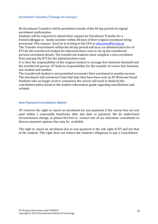#### <span id="page-20-0"></span>**Enrolment Transfers/ Change of Course/s**

No Enrolment Transfers will be permitted outside of the 60 day period of original enrolment confirmation.

Students will be required to submit their request for Enrolment Transfer for a friend/colleague or family member within 60 days of their original enrolment being processed. This request must be in writing to the CEO at [education@iit.edu.au](mailto:education@iit.edu.au)

The Transfer of enrolment within the 60 day period will incur an administration fee of \$75 for the transferred student for administration costs to set up the transferred persons enrolment details. The transferred students must complete a new enrolment form and pay the \$75 for the administration costs.

It is then the responsibility of the original student to arrange fees between themself and the transferred person. IIT hold no responsibility for the transfer of course fees between one student and another.

The transferred student is not permitted to transfer their enrolment to another person. The enrolment will commence from that date they have been sent an IIT Welcome Email Students who no longer wish to commence the course will need to abide by the cancellation policy found in the student information guide regarding cancellations and refunds.

#### <span id="page-20-1"></span>**Non Payment Cancellation Option**

IIT reserves the right to cancel an enrolment for non-payment if the course fees are not paid within a reasonable timeframe after due date or payment. We do understand circumstances change, so please feel free to contact one of our education consultants to discuss payment options that may be available.

The right to cancel an enrolment due to non-payment is the sole right of IIT and not that of the student. This right does not reduce the student's obligation to pay a Cancellation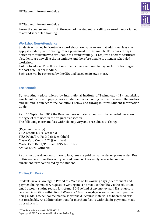

Fee or the course fees in full in the event of the student cancelling an enrolment or failing to attend scheduled training.

# <span id="page-21-0"></span>**Workshop Non-Attendance**

Students enrolling in face-to-face workshops are made aware that additional fees may apply if suddenly withdrawing from a program at the last minute. IIT require 7 days notice from students who are unable to attend training. IIT require a doctors certificate if students are unwell at the last minute and therefore unable to attend a scheduled workshop.

Failure to inform IIT will result in students being required to pay for future training at the cost of \$150 per module.

Each case will be reviewed by the CEO and based on its own merit.

# <span id="page-21-1"></span>**Fee Refunds**

By accepting a place offered by International Institute of Technology (IIT), submitting enrolment forms and paying fees a student enters a binding contract between themselves and IIT and is subject to the conditions below and throughout this Student Information Guide.

As of 1st September 2017 the Reserve Bank updated amounts to be refunded based on the type of card used in the original transaction.

The following merchant fees withheld may vary and are subject to change:

(Payment made by) VISA Credit: 1.35% withheld VISA Debit/Pre-Paid: 0.66% withheld MasterCard Credit: 1.21% withheld MasterCard Debit/Pre-Paid: 0.95% withheld AMEX: 1.65% withheld

As transactions do not occur face to face, fees are paid by mail order or phone order. Due to this we determine the card type used based on the card type selected on the enrolment form completed by the student.

# <span id="page-21-2"></span>**Cooling Off Period**

Students have a Cooling Off Period of 2 Weeks or 10 working days (of enrolment and payment being made) A request in writing must be made to the CEO via the education email account stating reason for refund. 80% refund of any money paid if a request is received in writing within first 2 Weeks or 10 working days of enrolment and payment being made. \$35 per course manual is withheld if course material has been used or is not re saleable. An additional amount for merchant fees is withheld for payments made by credit card.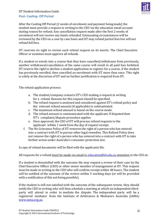

# <span id="page-22-0"></span>**Post- Cooling- Off Period**

After the Cooling Off Period (2 weeks of enrolment and payment being made) the student must provide a request in writing to the CEO via the education email account stating reason for refund. Any cancellation request made after the first 2 weeks of enrolment will not receive any funds refunded. Extenuating circumstances will be reviewed by the CEO on a case by case basis and IIT may refund partial fees but will not refund full fees.

IIT reserves its right to review each refund request on its merits. The Chief Executive Officer or nominee must approve all refunds.

If a student re-enrols into a course that they have cancelled/withdrawn from previously, another withdrawal/cancellation of the same course will result in all paid fees forfeited. IIT reserve the right to decline a student application to register for a course, if the student has previously enrolled, then cancelled an enrolment with IIT more than once. This right is solely at the discretion of IIT and no further justification is required from IIT.

The refund application process:

- a. The student/company contacts IIT's CEO making a request in writing for a refund. Reasons for this request should be specified.
- b. The refund request is analysed and considered against IIT's refund policy and the relevant refund amount (if applicable) is substantiated.
- c. The maximum refund amount is based on the course mode.
- d. The refund amount is communicated with the applicant. If disputed then IIT's complaint/dispute procedure applies.
- e. Once approved, the CEO of IIT will process refund requests to the applicant within 1 week from the day of request receipt.
- f. The No Grievance Policy of IIT removes the right of a person who has entered into a contract with IIT to pursue other legal remedies. This Refund Policy does not remove the right of a person who has entered into a contract with IIT to take further action under Australia's consumer protection law.

A copy of refund documents will be filed with the applicants file.

#### All requests for a refund must be made via email to [education@iit.edu.au](mailto:education@iit.edu.au) attention to the CEO at:

If a student is dissatisfied with the outcome the may request a review of their case by the Chief Executive Officer (CEO) or other senior member of management at IIT. This request must be made in writing to the CEO who will confirm receipt within 48 hours. The student will be notified of the outcome of the review within 5 working days (or will be provided with a notification of this not being possible).

If the student is still not satisfied with the outcome of the subsequent review, they should notify the CEO in writing who will then schedule a meeting at which an independent thirdparty will attend in order to mediate the dispute. The independent party will be a registered mediator from the Institute of Arbitrators & Mediators Australia (IAMA) [www.iama.org.au.](http://www.iama.org.au/)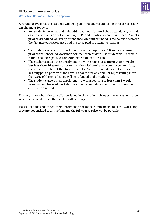

# <span id="page-23-0"></span>**Workshop Refunds(subject to approval)**

A refund is available to a student who has paid for a course and chooses to cancel their enrolment as follows:

- For students enrolled and paid additional fees for workshop attendance, refunds can be given outside of the Cooling Off Period if notice given minimum of 2 weeks prior to scheduled workshop attendance. Amount refunded is the balance between the distance education price and the price paid to attend workshops.
- The student cancels their enrolment in a workshop course **10 weeks or more** prior to the scheduled workshop commencement date. The student will receive a refund of all fees paid, less an Administration Fee of \$150;
- The student cancels their enrolment in a workshop course **more than 4 weeks but less than 10 weeks** prior to the scheduled workshop commencement date, the student will be entitled to a refund of 70% of enrolment fees. If the student has only paid a portion of the enrolled course fee any amount representing more than 30% of the enrolled fee will be refunded to the student.
- The student cancels their enrolment in a workshop course **less than 1 week** prior to the scheduled workshop commencement date, the student will **not** be entitled to a refund.

If at any time when the cancellation is made the student changes the workshop to be scheduled at a later date then no fee will be charged.

If a student does not cancel their enrolment prior to the commencement of the workshop they are not entitled to any refund and the full course price will be payable.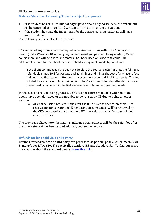#### <span id="page-24-0"></span>**Distance Education of eLearning Students (subject to approval)**



- If the student has enrolled but not as yet paid or paid only partial fees, the enrolment will be cancelled at no cost and written confirmation sent to the student.
- If the student has paid the full amount for the course learning materials will have been dispatched.

The following reflects IIT refund process:

80% refund of any money paid if a request is received in writing within the Cooling Off Period (first 2 Weeks or 10 working days of enrolment and payment being made). \$35 per course manual is withheld if course material has been used or is not re saleable. An additional amount for merchant fees is withheld for payments made by credit card.

If the client commences but does not complete the course, cluster or unit, the full fee is refundable minus 20% for postage and admin fees and minusthe cost of any face to face training that the student attended, to cover the venue and facilitator costs. The fee withheld for any face to face training is up to \$225 for each full day attended. Provided the request is made within the first 4 weeks of enrolment and payment made.

In the case of a refund being granted, a \$35 fee per course manual is withheld if the books have been damaged or are not able to be reused by IIT due to being an older version.

a Any cancellation request made after the first 2 weeks of enrolment will not receive any funds refunded. Extenuating circumstances will be reviewed by the CEO on a case by case basis and IIT may refund partial fees but will not refund full fees.

The previous policies notwithstanding under no circumstanceswill fees be refunded after the time a student has been issued with any course credentials.

# <span id="page-24-1"></span>**Refundsfor fees paid via a Third Party**

Refunds for fees paid via a third party are processed as per our policy, which meets SNR Standards for RTOs (2015) specifically Standard 5.3 and Standard 5.4. To find out more information about the standard please [follow](https://www.legislation.gov.au/Series/F2014L01377) this link.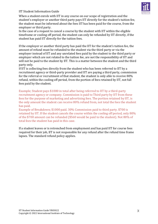

When a student enrols with IIT in any course on our scope of registration and the student's employer or another third party pays IIT directly for the student's tuition fee, the student must be informed about the fees IIT has been paid for the course, from the employer or third party.

In the case of a request to cancel a course by the student with IIT within the eligible timeframe or cooling off period, the student can only be refunded by IIT directly, if the student has paid IIT directly for the tuition fees.

If the employer or another third party has paid the IIT for the student's tuition fee, the amount of refund must be refunded to the student via the third party or via the employer instead of IIT and any unrelated fees paid by the student to the third party or employer which are not related to the tuition fee, are not the responsibility of IIT and will not be paid to the student by IIT. This is a matter between the student and the third party only.

If IIT is collecting fees directly from the student who has been referred to IIT by a recruitment agency or third-party provider and IIT are paying a third party, commission for the referral or recruitment of that student, the student is only able to receive 80% refund, within the cooling off period, from the portion of fees retained by IIT, not full fees paid by the student.

Example; Student pays \$1000 in total after being referred to IIT by a third-party recruitment agency or company. Commission is paid to Third party by IIT from these fees for the purpose of marketing and advertising fees. The portion retained by IIT, is the only amount the student can receive 80% refund from, not total the fees the student has paid.

Example of Breakdown; \$1000 paid. 30% Commission paid to third party. \$700 is retained by IIT. If the student cancels the course within the cooling off period, only 80% of the \$700 amount can be refunded (\$560 would be paid to the student). Not 80% of total fees the student has paid in this case.

If a student leaves or is retrenched from employment and has paid IIT for course fees required for their job, IIT is not responsible for any refund after the refund time frame lapses. The standard refund policy applies.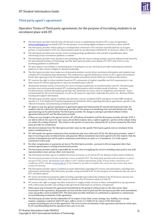

# <span id="page-26-0"></span>**Third party agent's agreement**

Operative Terms of Third party agreements, for the purpose of recruiting students in an enrolment place with IIT.

- The third party provider will advertise all relevant courses or qualifications found on IIT's scope of registration [\(www.training.gov.au\)](http://www.training.gov.au/) on behalf of IIT, for the purpose of recruiting eligible students to enrol into a place with IIT.
- The third party provider will be acting as an independent contractor to IIT and must not hold itself out as an agent, partner or representative of IIT. No representation made by any third party will bind IIT, its directors, officers or staff.
- The third party provider must use the correct training package qualification code and title of qualification when advertising on any recruitment platform or website
- The third party provider must specify in any marketing, that the course is being marked, assessed, delivered and issued by the International Institute of Technology and The third party provider must display IIT's RTO code 21421 on any marketing platform or publication
- IIT must approve any website or marketing prior to it going live on any third party provider marketing/recruitment platform or other means of digital or physical marketing.
- The third party provider must make sure all potential students receive all pre enrolment information and students must complete IIT's enrolment forms themselves. The student must sign the declaration section on IIT's approved enrolment forms, after agreeing to the IIT student information guide and policies found within pre enrolment information
- IIT reserves the right to refuse students based on IIT's assessment of student capability and LLN requirements or any other reason IIT deems appropriate to reject an enrolment place with IIT
- All potential students will be reviewed by IIT, prior to being accepted into an enrolment place with IIT. The third party provider must send potential students IIT's marketing information, which includes mode of delivery, brochure, enrolment forms, student information guide link, fees, timeframe of course, units of competency and nominal hours recommended for the course timeframe, as well as all resources required to undertake the course via distance/Online learning and support information
- The third party provider agrees to publish and advertise courses on behalf of(IIT) and agrees to meet SNR standards, specific to 4 -5 for Registered Training Organisations (Standards 2015), regarding third party agreements, specific to the referral of students and advertising on behalf of an RTO.
- IIT agrees to pay any agreed commission in agreement signed and witnessed by IIT and the third party provider, for students who are referred by The third party provider for the purpose of marketing costs and advertising costs. Only agreed pricing can be advertised by The third party provider. No change to pricing is permitted without written agreement between IIT and The third party provider
- If there are any changes to the agreed services, IIT will inform all students and The third party provider directly. If IIT is not able to deliver the course for any reason, all enrolled students, have a right to apply for a portion of the refund, if they are within the cooling off period. This relates to the portion of course fees retained by IIT, not fees retained by The third party provider for commission.
- All referred students from The third party provider must use the specific Third party agreed code on enrolment forms (where instalment box is)
- IIT will transfer the agreed commission from enrolments who were referred to IIT by The third party provider, within 7 days of receiving course enrolment forms and payment. Where instalments have been agreed to for the student. Only the portion of instalment fees will be paid in commission until all fees are paid, ie 1/3 instalment, 1/3 of the agreed commission will be paid.
- No other compensation or payments are due to The third party provider, pursuant to this arrangement other than amounts agreed upon in writing as between the parties.
- The third party provider shall be responsible for its own costs of supplying the services including salary paid to any staff, superannuation, taxes and any other costs incurred.
- The third party provider agrees to publish the prices of courses, as set out by IIT, for Distance/online mode of delivery.
- The third party provider will only market the course on behalf of IIT. The third party provider will not deliver or assess any part of the course. All students must adhere to IIT's Student Information Guide, Privacy Policy and terms and conditions of IIT's website [www.iit.edu.au.](http://www.iit.edu.au/) If any student is not able to complete the course for any reason, they must contact IIT directly.
- The third party provider agrees to publish accurate information regarding IITs courses and information, including clear information pertaining to The third party provider acting on behalf of IIT, for the purpose of recruitment only into one of IIT's enrolment places.
- IIT retains all intellectual property rights including copyright and trademarks relating to the IIT business and any new intellectual property created by either party in relation to the IIT business shall vest with IIT.
- IIT reserves the right to engage any other contractor to supply similar services as those contemplated in any agreement with a third party provider and nothing in this agreement shall imply an exclusive arrangement.
- Either party may terminate this agreement immediately by the giving of written notice to the other party. Upon termination of the agreement, all payments accrued and due must be paid and The third party provider must immediately cease any further work on behalf of IIT. The third party provider shall have no entitlement to payment or commissions accrued following termination of this agreement.
- The third party provider hereby indemnifies IIT in respect of any claim, action, damage, loss, liability, cost, charge, expense, outgoing or payment which IIT pays, suffers, incurs or is liable for by reason of The third party provider breaching any term of this agreement. This term survives termination of this agreement and may be relied upon by IIT notwithstanding that the agreement has come to an end.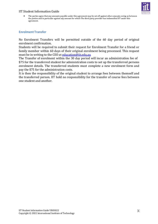

• The parties agree that any amounts payable under this agreement may be set off against other amounts owing as between the parties and in particular against any amount for which The third party provider has indemnified IIT under this agreement.

# <span id="page-27-0"></span>**Enrolment Transfer**

No Enrolment Transfers will be permitted outside of the 60 day period of original enrolment confirmation.

Students will be required to submit their request for Enrolment Transfer for a friend or family member within 60 days of their original enrolment being processed. This request must be in writing to the CEO at [education@iit.edu.au](mailto:education@iit.edu.au)

The Transfer of enrolment within the 30 day period will incur an administration fee of \$75 for the transferred student for administration costs to set up the transferred persons enrolment details. The transferred students must complete a new enrolment form and pay the \$75 for the administration costs.

It is then the responsibility of the original student to arrange fees between themself and the transferred person. IIT hold no responsibility for the transfer of course fees between one student and another.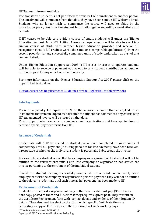

The transferred student is not permitted to transfer their enrolment to another person. The enrolment will commence from that date they have been sent an IIT Welcome Email. Students who no longer wish to commence the course will need to abide by the cancellation policy found in the student information guide regarding cancellations and refunds.

If IIT ceases to be able to provide a course of study, students will under the 'Higher Education Support Act 2003' Tuition Assurance requirements will be able to enrol in a similar course of study with another higher education provider and receive full recognition (that is full credit towards the same or a comparable qualification) from the second provider for any successfully completed units of study undertaken as part of that course of study.

Under 'Higher Education Support Act 2003' if IIT closes or ceases to operate, students will be able to receive a payment equivalent to any student contribution amount or tuition fee paid for any undelivered unit of study.

For more information on the 'Higher Education Support Act 2003' please click on the hyperlinked text below:

[Tuition Assurance Requirements Guidelines for the Higher Education providers](https://www.legislation.gov.au/Details/F2005L02590/54654645-ac3a-4635-8a4e-c78da700e1dd)

#### <span id="page-28-0"></span>**Late Payments**

There is a penalty fee equal to 10% of the invoiced amount that is applied to all instalments that remain unpaid 30 days after the student has commenced any course with IIT. An amended invoice will be issued on that date.

This is of particular relevance to companies and organisations that have applied for and received special payment terms from IIT.

#### <span id="page-28-1"></span>**Issuance of Credentials**

Credentials will NOT be issued to students who have completed required units of competency until full payment (including penalties for late payment) have been received, irrespective of whether the individual student is personally liable to pay the invoice.

For example, if a student is enrolled by a company or organisation the student will not be entitled to the relevant credentials until the company or organisation has settled the invoice pertaining to the enrolment of the individual student.

Should the student, having successfully completed the relevant course work, cease employment with the company or organisation prior to payment, they will not be entitled to the relevant credentials until such time as full payment has been made to IIT.

#### <span id="page-28-2"></span>**Replacement of Credentials**

Students who request a replacement copy of their certificate must pay \$35 to have a hard copy posted to them and \$15 extra if they request express post. They must fill in the Certificate Replacement form with contact details and evidence of their Student ID details. They also need to select on the form which specific Certificate they are requesting a copy of. Certificates are then re-issued within 5 working days.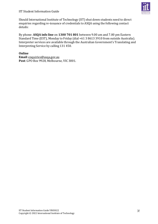

Should International Institute of Technology (IIT) shut down students need to direct enquiries regarding re-issuance of credentials to ASQA using the following contact details:

By phone: **ASQA info line** on **1300 701 801** between 9.00 am and 7.00 pm Eastern Standard Time (EST), Monday to Friday (dial +61 3 8613 3910 from outside Australia). Interpreter services are available through the Australian Government's Translating and Interpreting Service by calling 131 450.

# **Online**

**Email**: [enquiries@asqa.gov.au](mailto:enquiries@asqa.gov.au) **Post**: GPO Box 9928, Melbourne, VIC 3001.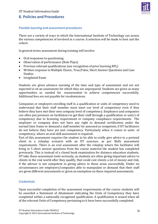

# <span id="page-30-0"></span>**8. Policies and Procedures**

# <span id="page-30-1"></span>**Flexible learning and assessment procedures**

There are a variety of ways in which the International Institute of Technology can assess the various competencies of involved in a course. A selection will be made to best suit the cohort.

In general terms assessment during training will involve:

- Oral responses to questioning
- Observation of performance (Role Plays)
- Previous relevant qualifications (see recognition of prior learning RPL)
- Written response to Multiple Choice, True/False, Short Answer Questions and Case Studies
- Invigilated Exam

Students are given advance warning of the time and type of assessment and are not expected to sit an assessment for which they are unprepared. Students are given as many opportunities as needed for reassessment to achieve competencies successfully. Additional fees are not payable for resubmissions.

Companies or employers enrolling staff in a qualification or units of competency need to understand that their staff member must meet our level of competency even if they believe they have met their own company level of competency. Employers and companies can often put pressure on facilitators to get their staff through a qualification or unit/s of competency due to licensing requirement or company compliance requirements. The employer or company does not have any right to demand certification under the normal time frame or demand a staff member be assessed as competent, if IIT facilitators do not believe they have yet met competency. Particularly when it comes to units of competency, where an oral skill assessment is required.

Part of this assessment requires the student to be able to orally give advice to a pretend client in a roleplay scenario with an IIT assessor, as per Skills assessment requirements. There is an oral assessment after the roleplay where the facilitator will bring in 5 short answer questions from the course material the student has completed previously. This is instead of a closed book examination for distance education students. IIT take these assessment tools seriously, as students are often giving important advice to clients in the real world after they qualify, that could cost clients a lot of money and risk, if the advisor is not competent in giving advice in those areas successfully. Under no circumstances are employers/companies able to manipulate or demand that their staff are given different assessments or given an exemption on these required assessments.

# <span id="page-30-2"></span>**Credentials**

Upon successful completion of the assessment requirements of the course students will be awarded a Statement of Attainment indicating the Units of Competency they have completed within a nationally recognised qualification. A qualification is issued when all of the relevant Units of Competency pertaining to it have been successfully completed.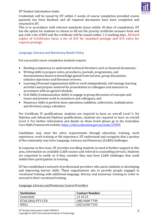

Credentials will be issued by IIT within 3 weeks of course completion provided course payment has been finalised and all required documents have been completed and returned to IIT.

This is in accordance with relevant standards (issue within 30 days of completion). IIT has the option for students to choose to fill out the priority certificate issuance form and pay with a fee of \$50 and the certificate will be issued within 1-3 working days. **All hard copies of Certificates incur a fee of \$35 for standard postage and \$15 extra for express postage.**

# <span id="page-31-0"></span>**Language Literacy and Numeracy Needs Policy**

For successful course completion students require:

- Reading competency to understand technical literature such as financial documents;
- Writing skills to prepare notes, procedures, journals, programmes, and documentation based on knowledge gained from lectures, group discussions, industry experience and literature reviews;
- Learning (Personal organisation) skills to work independently, self-manage learning activities and prepare material for presentation to colleagues and assessors in accordance with an agreed schedule;
- Oral Skills (Communication skills) to engage in group discussion of concepts and issues and present work to examiners and colleagues; and
- Numeracy skills to perform basic operations (addition, subtraction, multiplication and division) using a calculator.

For Certificate IV qualifications, students are required to have an overall Level 3, for Diploma and Advanced Diploma qualifications, students are required to have an overall Level 4. For further information and details on these levels please go to the Australian CoreSkills Framework website. <https://docs.education.gov.au/node/37095>

Candidates may meet the entry requirements through education, training, work experience, work training or life experience. IIT understand and recognise that a portion of the community may have Language, Literacy and Numeracy (LL&N) challenges.

In response to this issue, IIT provides enrolling students in need of further support in this area, information on available LL&N courses and referral to counselling services. Students are requested to notify us if they consider they may have LL&N challenges that could inhibit their participation in training.

IIT has established a network of professional providers who assist students in developing and improving learner skills. These organisations aim to provide people engaged in vocational training with additional language, literacy and numeracy training in order to succeed in their vocational training.

Language, Literacy and Numeracy Course Providers

| Institution       | <b>Contact Number</b> |
|-------------------|-----------------------|
| Centrelink        | 13 10 21              |
| ETAS (WA) PTY LTD | (08) 9409 7799        |
| WELL              | (02) 6240 7333        |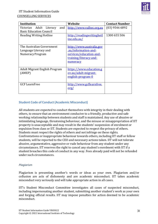

| <b>Institution</b>                   | Website                         | <b>Contact Number</b> |
|--------------------------------------|---------------------------------|-----------------------|
| and<br>Adult Literacy<br>Victorian   | http://www.valbec.org.au        | $(03)$ 9546 6892      |
| <b>Basic Education Council</b>       |                                 |                       |
| Reading Writing Hotline              | http://readingwritinghotl       | 1300 655 506          |
|                                      | ine.edu.au/                     |                       |
|                                      |                                 |                       |
| The Australian Government            | <u>http://www.australia.gov</u> |                       |
| Language Literacy and                | <u>.au/information-and-</u>     |                       |
| Numeracy Program                     | services/education-and-         |                       |
|                                      | training/literacy-and-          |                       |
|                                      |                                 |                       |
|                                      | numeracy                        |                       |
| <b>Adult Migrant English Program</b> | https://www.education.g         |                       |
|                                      |                                 |                       |
| (AMEP)                               | ov.au/adult-migrant-            |                       |
|                                      | <u>english-program-0</u>        |                       |
|                                      |                                 |                       |
| <b>GCF</b> LearnFree                 | http://www.gcflearnfree.        |                       |
|                                      | <u>org/</u>                     |                       |
|                                      |                                 |                       |

# <span id="page-32-0"></span>**Student Code of Conduct (Academic Misconduct)**

All students are expected to conduct themselves with integrity in their dealing with others, to ensure that an environment conducive to a friendly, productive and safe working relationship between students and staff is maintained. Any use of abusive or intimidating language, threatening behaviour, and the misuse or misappropriation of IIT property is unacceptable and may result in the students' suspension of enrolment or expulsion from class or IIT. Students are expected to respect the privacy of others. Students must respect the rights of others and not infringe on these rights. Confrontations or inappropriate behaviour towards others, including IIT staff or fellow students, will be reported to the CEO and necessary actions taken. IIT will not tolerate abusive, argumentative, aggressive or rude behaviour from any student under any circumstances. IIT reserves the right to cancel any student's enrolment with IIT if a student breaches this code of conduct in any way. Fees already paid will not be refunded under such circumstances.

#### *Plagiarism*

Plagiarism is presenting another's words or ideas as your own. Plagiarism and/or collusion are acts of dishonesty and are academic misconduct. IIT takes academic misconduct very seriously and will take appropriate action in all cases.

IIT's Student Misconduct Committee investigates all cases of suspected misconduct, including impersonating another student, submitting another student's work as your own and forging official results. IIT may impose penalties for action deemed to be academic misconduct.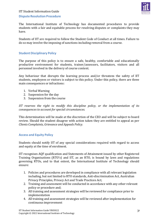

# <span id="page-33-0"></span>**Dispute Resolution Procedure**

The International Institute of Technology has documented procedures to provide students with a fair and equitable process for resolving disputes or complaints they may have.

Students of IIT are required to follow the Student Code of Conduct at all times. Failure to do so may involve the imposing of sanctions including removal from a course.

# <span id="page-33-1"></span>**Student Disciplinary Policy**

The purpose of this policy is to ensure a safe, healthy, comfortable and educationally productive environment for students, trainer/assessors, facilitators, visitors and all personnel involved in the delivery of course content.

Any behaviour that disrupts the learning process and/or threatens the safety of IIT students, employees or visitors is subject to this policy. Under this policy, there are three main consequences or infractions:

- 1. Verbal Warning
- 2. Suspension for the day
- 3. Suspension from the course

*IIT reserves the right to modify this discipline policy, or the implementation of its consequences to account for special circumstances.*

This determination will be made at the discretion of the CEO and will be subject to board review. Should the student disagree with action taken they are entitled to appeal as per *Clients Complaints, Grievance and Appeals Policy.*

#### <span id="page-33-2"></span>**Access and Equity Policy**

Students should notify IIT of any special considerations required with regard to access and equity at the time of enrolment.

IIT recognises AQF qualification and Statements of Attainment issued by other Registered Training Organisations (RTO's) and IIT, as an RTO, is bound by laws and regulations governing RTOs, and to that extent, the International Institute of Technology should ensure:

- 1. Policies and procedures are developed in compliance with all relevant legislation including, but not limited to RTO standards, Anti-discrimination Act, Australian Privacy Principles, Privacy Act and Trade Practices Act;
- 2. Training and assessment will be conducted in accordance with any other relevant policy or procedure and;
- 3. All training and assessment strategies will be reviewed for compliance prior to implementation
- 4. All training and assessment strategies will be reviewed after implementation for continuous improvement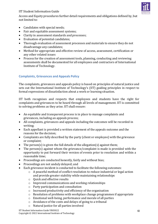

Access and Equity procedures further detail requirements and obligations defined by, but not limited to:

- Candidates with special needs;
- Fair and equitable assessment systems;
- Clarity in assessment standards and processes;
- Evaluation of potential candidates;
- Thorough evaluation of assessment processes and materials to ensure they do not disadvantage any candidates;
- Method for appropriate and effective review of access, assessment, certification or any other related issues
- Process for the creation of assessment tools, planning, conducting and reviewing assessments shall be documented for all employees and contractors of International Institute of Technology.

# <span id="page-34-0"></span>**Complaints, Grievances and Appeals Policy**

The complaints, grievances and appeals policy is based on principles of natural justice and sets out the International Institute of Technology's (IIT) guiding principles in respect to formal expressions of dissatisfaction about a work or learning situation.

IIT both recognises and respects that employees and students have the right for complaints and grievances to be heard through all levels of management. IIT is committed to solving problems as they arise. IIT shall ensure:

- An equitable and transparent process is in place to manage complaints and grievances, including an appeals process;
- All complaints, grievances and appeals including the outcomes will be recorded in writing;
- Each appellant is provided a written statement of the appeals outcome and the reasons for the decision;
- Complaints are fully described by the party (client or employee) with the grievance or complaint;
- The person(s) is given the full details of the allegation(s) against them;
- The person(s) against whom the grievance/complaint is made is provided with the opportunity to put forward their version of events prior to resolution and within a reasonable time;
- Proceedings are conducted honestly, fairly and without bias;
- Proceedings are not unduly delayed; and
- Each grievance incident is conducted to facilitate the following outcomes:
	- o A peaceful method of conflict resolution to reduce industrial or legal action and provide greater stability while maintaining relationships
	- o Quick and effective results
	- o Improved communications and working relationships
	- o Party participation and consultation
	- o Increased productivity and efficiency of the organisation
	- o Resolution of problems with workplace change programmes if appropriate
	- o Emotional well-being, performance and morale of all parties
	- o Avoidance of the costs and delays of going to a tribunal
	- o Natural justice for all parties involved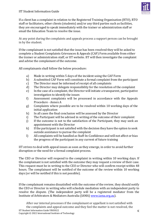

If a client has a complaint in relation to the Registered Training Organisation (RTO), RTO staff or facilitators, other clients (students) and/or any third parties such as facilities, they are encouraged to speak immediately with the trainer or administration staff or email the Education Team to resolve the issue.

At any point during the complaints and appeals process a support person can be brought in by the student.

If the complainant is not satisfied that the issue has been resolved they will be asked to complete a Student Complaints Grievances & Appeals (CAF) Form available from either the trainer or administration staff, or IIT website. IIT will then investigate the complaint and advise the complainant of the outcome.

All complainants shall follow the below procedure:

- a) Made in writing within 5 days of the incident using the CAF Form
- b) A submitted CAF Form will constitute a formal complaint from the participant
- c) The Director must be informed of receipt of all complaints
- d) The Director may delegate responsibility for the resolution of the complaint
- e) In the case of a complaint, the Director will initiate a transparent, participative investigation to identify the issues
- f) Assessment complaints will be processed in accordance with the Appeals Procedure - Annex A
- g) Complaints where possible are to be resolved within 10 working days of the initial application
- h) In all cases the final conclusion will be assessed by the Director
- i) The Participant will be advised in writing of the outcome of their complaint
- j) If the outcome is not to the satisfaction of the Participant, they may seek an appointment with the Director
- k) If the participant is not satisfied with the decision they have the option to seek outside assistance to pursue the complaint
- l) All complaints will be handled as Staff-In-Confidence and will not affect or bias the progress of the participant in any current of future training

IIT strives to deal with appeal issues as soon as they emerge, in order to avoid further disruption or the need for a formal complaint process.

The CEO or Director will respond to the complaint in writing within 10 working days. If the complainant is not satisfied with the outcome they may request a review of their case. This request must be in writing to the CEO or Director who will confirm receipt within 48 hours. The complainant will be notified of the outcome of the review within 10 working days (or will be notified if this is not possible).

If the complainant remains dissatisfied with the outcome of the review, they should notify the CEO or Director in writing who will schedule mediation with an independent party to resolve the dispute. (The independent party will be a registered mediator from the Institute of Arbitrators & Mediators Australia (IAMA) [www.iama.org.au\)](http://www.iama.org.au/).

IIT Student Information Guide VR03022 Copyright © 2022 International Institute of Technology After our internal processes if the complainant or appellant is not satisfied with the complaints and appeal outcome and they feel the matter is not resolved, the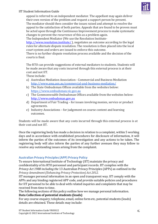

appeal is referred to an independent mediator. The appellant may again deliver their own version of the problem and request a support person be present. The mediator should then consider the issues raised and attempt to resolve the appeal to the satisfaction of both parties. Appeals that are found to be proven must be acted upon through the Continuous Improvement process to make systematic changes to prevent the recurrence of this as a problem again. The Independent Mediator (We use the Resolution Institute-

<http://www.resolution.institute/>), negotiates an outcome according to the legal rules for alternate dispute resolution. The resolution is then placed into the local court system and orders are issued to enforce this outcome.

There is no further dispute resolution process available and the decision of the courts is final.

The RTO can provide suggestions of external mediators to students. Students will be made aware that any costs incurred through this external process is at their cost and not IIT.

These include:

- a) Australian Mediation Association Commercial and Business Mediation <http://www.ama.asn.au/commercial-and-business-mediation/>
- b) The State Ombudsman Offices available from the websites below: [https://www.ombudsman.vic.gov.au](https://www.ombudsman.vic.gov.au/)
- c) The Commonwealth Ombudsman Offices available from the websites below: [http://www.ombudsman.gov.au](http://www.ombudsman.gov.au/)
- d) Department of Fair Trading for issues involving monies, service or product agreements.
- e) Industry Associations for judgement on course content and learning outcomes.

Students will be made aware that any costs incurred through this external process is at their cost and not IIT.

Once the registering body has made a decision in relation to a complaint, within 5 working days and in accordance with established procedures for disclosure of information, it will inform the parties of the outcomes of its investigation and any actions to be taken. The registering body will also inform the parties of any further avenues they may follow to resolve any outstanding issues arising from the complaint.

# <span id="page-36-0"></span>**Australian Privacy Principles(APP) Privacy Policy**

To ensure International Institute of Technology (IIT) maintain the privacy and confidentiality of its RTO personnel and participant records. IIT complies with the *Privacy Act 1988 including the* 13 Australian Privacy Principles (APPs) as outlined in the *Privacy Amendment(Enhancing Privacy Protection) Act 2012.*

IIT manages personal information in an open and transparent way. IIT comply with the APPs and any binding registered APP code, and provide suitable policies and procedures for IIT personnel to be able to deal with related inquiries and complaints that may be received from time to time.

The following sections of this policy outline how we manage personal information. **Data Collection of potential students (leads)**

For any course enquiry; telephone, email, online form etc, potential students (leads) details are obtained. These details may include: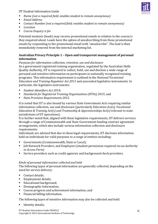- *Name (not a required field; enables student to remain anonymous)*
- *Email Address*
- *Contact Number (not a required field; enables student to remain anonymous)*
- *Location*
- *Course Enquiry is for*

Potential students (leads) may receive promotional emails in relation to the course/s they enquired about. Leads have the option of unsubscribing from these promotional emails by responding to the promotional email with "unsubscribe". The lead is then immediately removed from the internal marketing list.

# **Australian Privacy Principle 1 – Open and transparent management of personal information**

# *Purposesfor information collection, retention, use and disclosure*

As a government registered training organisation, regulated by the Australian Skills Quality Authority, IIT is required to collect, hold, use and disclose a wide range of personal and sensitive information on participants in nationally recognised training programs. This information requirement is outlined in the *National Vocational Education and Training Regulator Act 2011* and associated legislative instruments. In particular, the legislative instruments:

- *Student Identifiers Act 2014;*
- *Standards for Registered Training Organisations (RTOs) 2015;* and
- *Data Provision Requirements 2012.*

It is noted that IIT is also bound by various State Government Acts requiring similar information collection, use and disclosure (particularly *Education Act(s), Vocational Education & Training Act(s) and Traineeship & Apprenticeships Act(s)* relevant to state jurisdictions of IIT operations).

It is further noted that, aligned with these legislative requirements, IIT delivers services through a range of Commonwealth and State Government funding contract agreement arrangements, which also include various information collection and disclosure requirements.

Individuals are advised that due to these legal requirements, IIT discloses information held on individuals for valid purposes to a range of entities including:

- Governments (Commonwealth, State or Local);
- Job Network Providers, and Employers (student permission required via an *Authority to Access Form*)
- Service providers such as credit agencies and background check providers.

# *Kinds of personal information collected and held*

The following types of personal information are generally collected, depending on the need for service delivery:

- Contact details;
- Employment details;
- Educational background;
- Demographic Information;
- Course progress and achievement information; and
- Financial billing information.

The following types of sensitive information may also be collected and held:

■ Identity details;

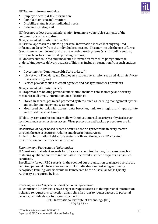

- Employee details & HR information;
- Complaint or issue information;
- Disability status & other individual needs;
- Indigenous status; and

IIT does not collect personal information from more vulnerable segments of the community (such as children

# *How personal information is collected*

IIT's usual approach to collecting personal information is to collect any required information directly from the individuals concerned. This may include the use of forms (such as enrolment forms) and the use of web based systems (such as online enquiry forms, web portals or internal operating systems).

IIT does receive solicited and unsolicited information from third party sources in undertaking service delivery activities. This may include information from such entities as:

- Governments (Commonwealth, State or Local);
- **Job Network Providers, and Employers (student permission required via an** *Authority to Access Form*); and
- Service providers such as credit agencies and background check providers

# *How personal information is held*

IIT's approach to holding personal information includes robust storage and security measures at all times. Information on collection is:

- Stored in secure, password protected systems, such as learning management system and student management system; and
- Monitored for unlawful access, data breaches, unknown logins, and appropriate authorised use at all times.

IIT data systems are hosted internally with robust internal security to physical server locations and server systems access. Virus protection and backup procedures are in place.

Destruction of paper based records occurs as soon as practicable in every matter, through the use of secure shredding and destruction services.

Individual information held across systems is linked through an IIT allocated identification number for each individual.

# *Retention and Destruction of Information*

IIT must retain student records for 30 years as required by law, for reasons such as matching qualifications with individuals in the event a student requires a re-issued certificate.

Specifically for our RTO records, in the event of our organisation ceasing to operate the required personal information on record for individuals undertaking nationally recognised training with us would be transferred to the Australian Skills Quality Authority, as required by law.

# *Accessing and seeking correction of personal information*

IIT confirms all individuals have a right to request access to their personal information held and to request its correction at any time. In order to request access to personal records, individuals are to make contact with:

CEO- International Institute of Technology (IIT) 1300 88 33 46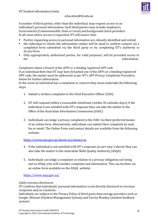# [education@iit.edu.au](mailto:education@iit.edu.au)

A number of third parties, other than the individual, may request access to an individual's personal information. Such third parties may include employers, Governments (Commonwealth, State or Local) and background check providers In all cases where access is requested, IIT will ensure that:

- Parties requesting access to personal information are robustly identified and vetted;
- the individual to whom the information relates will be need to confirm consent via a completed form submitted via the third party or by completing IIT's *Authority to Access Form*
- Only appropriately authorised parties, for valid purposes, will be provided access to the information.

# *Complaints about a breach of the APPs or a binding registered APP code*

If an individual feels that IIT may have breached one of the APPs or a binding registered APP code, the matter must be addressed as per IIT's *APP Privacy Complaints Procedure,* below for further information.

In the event an individual has a complaint or concern they must undertake the following steps

- 1. Submit a written complaint to the Chief Executive Officer (CEO).
- 2. IIT will respond within a reasonable timeframe (within 30 calendar days); if the individual is not satisfied with IIT's response they can take the matter to the Office of the Australian Information Commission (OAIC)
- 3. Individuals can lodge a privacy complaint to the OAIC via their preferred means of an online form. Alternatively, individuals can submit their complaint by mail, fax or email. The Online Form and contact details are available from the following website:

# <https://www.oaic.gov.au/about-us/contact-us>

- 4. If the individual is not satisfied with IIT's response (as per step 2 above( they can also take the matter to the Australian Skills Quality Authority (ASQA)
- 5. Individuals can lodge a complaint in relation to a privacy obligation not being met to ASQA, who will consider complaint and information. This can be done via an online form available on the ASQA website:

<https://www.asqa.gov.au/>

# *Likely overseas disclosures*

IIT confirms that individuals' personal information is not directly disclosed to overseas recipients and/or countries.

Individuals are subject to the Privacy Policy of third party data storage providers such as Google, Wisenet (Student Management System) and Survey Monkey (student feedback system)

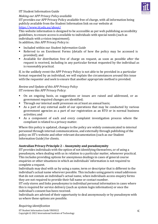

# *Making our APP Privacy Policy available*

IIT provides our APP Privacy Policy available free of charge, with all information being publicly available from the Student Information link on our website at <https://www.iit.edu.au/about/>

This website information is designed to be accessible as per web publishing accessibility guidelines, to ensure access is available to individuals with special needs (such as individuals with a vision impairment).

In addition, this APP Privacy Policy is:

- Included within our *Student Information Guide*
- Referred to on Enrolment Forms (details of how the policy may be accessed is provided); and
- Available for distribution free of charge on request, as soon as possible after the request is received, including in any particular format requested by the individual as is reasonably practical.

If, in the unlikely event the APP Privacy Policy is not able to be provided in a particular format requested by an individual, we will explain the circumstances around this issue with the requester and seek to ensure that another appropriate method is provided.

# *Review and Update of this APP Privacy Policy*

IIT reviews this APP Privacy Policy:

- On an ongoing basis, as suggestions or issues are raised and addressed, or as government required changes are identified;
- Through our internal audit processes on at least an annual basis;
- As a part of any external audit of our operations that may be conducted by various government agencies as a part of our registration as an RTO or in normal business activities; and
- As a component of each and every complaint investigation process where the compliant is related to a privacy matter.

Where this policy is updated, changes to the policy are widely communicated to internal personnel through internal communications, and externally through publishing of the policy on IIT's website and other relevant documentation (such as our Student Information Guide) for clients.

# **Australian Privacy Principle 2 – Anonymity and pseudonymity**

IIT provides individuals with the option of not identifying themselves, or of using a pseudonym, when dealing with us in relation to a particular matter, whenever practical. This includes providing options for anonymous dealings in cases of general course enquiries or other situations in which an individuals' information is not required to complete a request.

Individuals may deal with us by using a name, term or descriptor that is different to the individual's actual name wherever possible. This includes using generic email addresses that do not contain an individual's actual name, when individuals access enquiry forms they are not required to provide their full name or contact number.

IIT only stores and links pseudonyms to individual personal information in cases where this is required for service delivery (such as system login information) or once the individual's consent has been received.

Individuals are advised of their opportunity to deal anonymously or by pseudonym with us where these options are possible.

# *Requiring identification*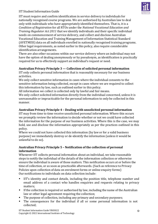IIT must require and confirm identification in service delivery to individuals for nationally recognised course programs. We are authorised by Australian law to deal only with individuals who have appropriately identified themselves. That is, it is a *Condition of Registration* for all RTOs under the *National Vocational Education and Training Regulator Act 2011* that we identify individuals and their specific individual needs on commencement of service delivery, and collect and disclose Australian Vocational Education and Training Management of Information Statistical Standard (AVETMISS) data on all individuals enrolled in nationally recognised training programs. Other legal requirements, as noted earlier in this policy, also require considerable identification arrangements.

There are also other occasions within our service delivery where an individual may not have the option of dealing anonymously or by pseudonym, as identification is practically required for us to effectively support an individual's request or need.

# **Australian Privacy Principle 3 — Collection of solicited personal information**

IIT only collects personal information that is reasonably necessary for our business activities.

We only collect sensitive information in cases where the individual consents to the sensitive information being collected, except in cases where we are required to collect this information by law, such as outlined earlier in this policy.

All information we collect is collected only by lawful and fair means.

We only collect solicited information directly from the individual concerned, unless it is unreasonable or impracticable for the personal information to only be collected in this manner.

# **Australian Privacy Principle 4 – Dealing with unsolicited personal information**

IIT may from time to time receive unsolicited personal information. Where this occurs we promptly review the information to decide whether or not we could have collected the information for the purpose of our business activities. Where this is the case, we may hold, use and disclose the information appropriately as per the practices outlined in this policy.

Where we could not have collected this information (by law or for a valid business purpose) we immediately destroy or de-identify the information (unless it would be unlawful to do so).

# **Australian Privacy Principle 5 – Notification of the collection of personal information**

Whenever IIT collects personal information about an individual, we take reasonable steps to notify the individual of the details of the information collection or otherwise ensure the individual is aware of those matters. This notification occurs at or before the time of collection, or as soon as practicable afterwards. (Such as reference to Privacy Policies upon collection of data on enrolment forms or online enquiry forms) Our notifications to individuals on data collection include:

- IIT's identity and contact details, including the position title, telephone number and email address of a contact who handles enquiries and requests relating to privacy matters;
- **•** If the collection is required or authorised by law, including the name of the Australian law or other legal agreement requiring the collection;
- The purpose of collection, including any primary and secondary purposes;
- The consequences for the individual if all or some personal information is not collected;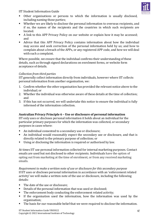

- Other organisations or persons to which the information is usually disclosed, including naming those parties;
- Whether we are likely to disclose the personal information to overseas recipients, and if so, the names of the recipients and the countries in which such recipients are located.
- A link to this APP Privacy Policy on our website or explain how it may be accessed; and
- Advice that this APP Privacy Policy contains information about how the individual may access and seek correction of the personal information held by us; and how to complain about a breach of the APPs, or any registered APP code, and how we will deal with such a complaint.

Where possible, we ensure that the individual confirms their understanding of these details, such as through signed declarations on enrolment forms, or website form acceptance of details.

# *Collection from third parties*

IIT generally collect information directly from individuals, however where IIT collects personal information from another organisation, we:

- 1. Confirm whether the other organisation has provided the relevant notice above to the individual; or
- 2. Whether the individual was otherwise aware of these details at the time of collection; and
- 3. If this has not occurred, we will undertake this notice to ensure the individual is fully informed of the information collection.

# **Australian Privacy Principle 6 – Use or disclosure of personal information**

IIT only uses or discloses personal information it holds about an individual for the particular primary purposes for which the information was collected, or secondary purposes in cases where:

- An individual consented to a secondary use or disclosure;
- An individual would reasonably expect the secondary use or disclosure, and that is directly related to the primary purpose of collection; or
- Using or disclosing the information is required or authorised by law.

At times IIT use personal information collected for internal marketing purposes. Contact emails are used but not disclosed to other recipients. Individuals have the option of opting out from marketing at the time of enrolment, or from any received marketing emails.

*Requirement to make a written note of use or disclosure for this secondary purpose* If IIT uses or discloses personal information in accordance with an 'enforcement related activity' we will make a written note of the use or disclosure, including the following details:

- The date of the use or disclosure:
- Details of the personal information that was used or disclosed;
- The enforcement body conducting the enforcement related activity;
- **■** If the organisation used the information, how the information was used by the organisation;
- The basis for our reasonable belief that we were required to disclose the information.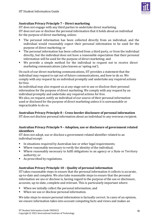

# **Australian Privacy Principle 7 – Direct marketing**

IIT does not engage with any third parties to undertake direct marketing. IIT does not use or disclose the personal information that it holds about an individual for the purpose of direct marketing, unless:

- The personal information has been collected directly from an individual, and the individual would reasonably expect their personal information to be used for the purpose of direct marketing; or
- The personal information has been collected from a third party, or from the individual directly, but the individual does not have a reasonable expectation that their personal information will be used for the purpose of direct marketing; and
- We provide a simple method for the individual to request not to receive direct marketing communications (also known as 'opting out').

On each of our direct marketing communications, IIT provides a statement that the individual may request to opt out of future communications, and how to do so. We comply with any request by an individual promptly and undertake any required actions for free.

An individual may also request us at any stage not to use or disclose their personal information for the purpose of direct marketing. We comply with any request by an individual promptly and undertake any required actions for free.

We also, on request, notify an individual of our source of their personal information used or disclosed for the purpose of direct marketing unless it is unreasonable or impracticable to do so.

# **Australian Privacy Principle 8 – Cross-border disclosure of personal information**

IIT does not disclose personal information about an individual to any overseas recipient.

# **Australian Privacy Principle 9 – Adoption, use or disclosure of government related identifiers**

IIT does not adopt, use or disclose a government related identifier related to an individual except:

- In situations required by Australian law or other legal requirements;
- Where reasonably necessary to verify the identity of the individual;
- Where reasonably necessary to fulfil obligations to an agency or a State or Territory authority; or
- As prescribed by regulations.

# **Australian Privacy Principle 10 – Quality of personal information**

IIT takes reasonable steps to ensure that the personal information it collects is accurate, up-to-date and complete. We also take reasonable steps to ensure that the personal information we use or disclose is, having regard to the purpose of the use or disclosure, accurate, up-to-date, complete and relevant. This is particularly important where:

- When we initially collect the personal information; and
- When we use or disclose personal information.

We take steps to ensure personal information is factually correct. In cases of an opinion, we ensure information takes into account competing facts and views and makes an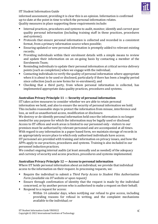

informed assessment, providing it is clear this is an opinion. Information is confirmed up-to-date at the point in time to which the personal information relates. Quality measures in place supporting these requirements include:

- Internal practices, procedures and systems to audit, monitor, identify and correct poor quality personal information (including training staff in these practices, procedures and systems);
- Protocols that ensure personal information is collected and recorded in a consistent format, from a primary information source when possible;
- Ensuring updated or new personal information is promptly added to relevant existing records;
- **•** Providing individuals within their enrolment details with a simple means to review and update their information on an on-going basis by contacting a member of the Enrolments Team;
- Reminding individuals to update their personal information at critical service delivery points (such as completion) when we engage with the individual;
- Contacting individuals to verify the quality of personal information where appropriate when it is about to be used or disclosed, particularly if there has been a lengthy period since collection (such as new forms for re-enrolment); and
- Checking that a third party, from whom personal information is collected, has implemented appropriate data quality practices, procedures and systems.

# **Australian Privacy Principle 11 — Security of personal information**

IIT takes active measures to consider whether we are able to retain personal information we hold, and also to ensure the security of personal information we hold. This includes reasonable steps to protect the information from misuse, interference and loss, as well as unauthorised access, modification or disclosure.

We destroy or de-identify personal information held once the information is no longer needed for any purpose for which the information may be legally used or disclosed. Access to IIT offices and work areas is limited to our personnel only - visitors to our premises must be authorised by relevant personnel and are accompanied at all times. With regard to any information in a paper based form, we maintain storage of records in an appropriately secure place to which only authorised individuals have access. IIT personnel are provided with training and information on privacy issues, and how the APPs apply to our practices, procedures and systems. Training is also included in our personnel induction practices.

We conduct ongoing internal audits (at least annually and as needed) of the adequacy and currency of security and access practices, procedures and systems implemented.

# **Australian Privacy Principle 12 — Access to personal information**

Where IIT holds personal information about an individual, we provide that individual access to the information on their request. In processing requests, we:

- Require the individual to submit a *Third Party Access to Student Files Authorisation Form (available via IIT website or upon request)*
- Ensure through confirmation of identity that the request is made by the individual concerned, or by another person who is authorised to make a request on their behalf;
- Respond to a request for access:
	- Within 14 calendar days, when notifying our refusal to give access, including providing reasons for refusal in writing, and the complaint mechanisms available to the individual; or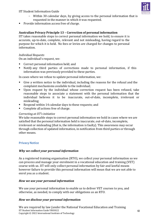

- Within 30 calendar days, by giving access to the personal information that is requested in the manner in which it was requested.
- Provide information access free of charge.

# **Australian Privacy Principle 13 – Correction of personal information**

IIT takes reasonable steps to correct personal information we hold, to ensure it is accurate, up-to-date, complete, relevant and not misleading, having regard to the purpose for which it is held. No fees or levies are charged for changes to personal information.

# *Individual Requests*

On an individual's request, we:

- Correct personal information held; and
- Notify any third parties of corrections made to personal information, if this information was previously provided to these parties.

In cases where we refuse to update personal information, we:

- Give a written notice to the individual, including the reasons for the refusal and the complaint mechanisms available to the individual;
- Upon request by the individual whose correction request has been refused, take reasonable steps to associate a statement with the personal information that the individual believes it to be inaccurate, out-of-date, incomplete, irrelevant or misleading;
- Respond within 14 calendar days to these requests; and
- Complete all actions free of charge.

#### *Correcting at IIT's initiative*

We take reasonable steps to correct personal information we hold in cases where we are satisfied that the personal information held is inaccurate, out-of-date, incomplete, irrelevant or misleading (that is, the information is faulty). This awareness may occur through collection of updated information, in notification from third parties or through other means.

# <span id="page-45-0"></span>**Privacy Notice**

# *Why we collect your personal information*

As a registered training organisation (RTO), we collect your personal information so we can process and manage your enrolment in a vocational education and training (VET) course with us. IIT will only collect personal information by fair and lawful means however failure to provide this personal information will mean that we are not able to enrol you as a student.

# *How we use your personal information*

We use your personal information to enable us to deliver VET courses to you, and otherwise, as needed, to comply with our obligations as an RTO.

# *How we disclose your personal information*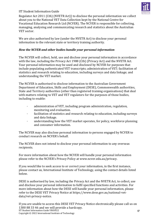

Regulator Act 2011 (Cth) (NVETR Act)) to disclose the personal information we collect about you to the National VET Data Collection kept by the National Centre for Vocational Education Research Ltd (NCVER). The NCVER is responsible for collecting, managing, analysing and communicating research and statistics about the Australian VET sector.

We are also authorised by law (under the NVETR Act) to disclose your personal information to the relevant state or territory training authority.

# *How the NCVER and other bodies handle your personal information*

The NCVER will collect, hold, use and disclose your personal information in accordance with the law, including the Privacy Act 1988 (Cth) (Privacy Act) and the NVETR Act. Your personal information may be used and disclosed by NCVER for purposes that include populating authenticated VET transcripts; administration of VET; facilitation of statistics and research relating to education, including surveys and data linkage; and understanding the VET market.

The NCVER is authorised to disclose information to the Australian Government Department of Education, Skills and Employment (DESE), Commonwealth authorities, State and Territory authorities (other than registered training organisations) that deal with matters relating to VET and VET regulators for the purposes of those bodies, including to enable:

- · administration of VET, including program administration, regulation, monitoring and evaluation.
- · facilitation of statistics and research relating to education, including surveys and data linkage.
- · understanding how the VET market operates, for policy, workforce planning and consumer information.

The NCVER may also disclose personal information to persons engaged by NCVER to conduct research on NCVER's behalf.

The NCVER does not intend to disclose your personal information to any overseas recipients.

For more information about how the NCVER will handle your personal information please refer to the NCVER's Privacy Policy at www.ncver.edu.au/privacy.

If you would like to seek access to or correct your information, in the first instance, please contact us, International Institute of Technology, using the contact details listed below.

DESE is authorised by law, including the Privacy Act and the NVETR Act, to collect, use and disclose your personal information to fulfil specified functions and activities. For more information about how the DESE will handle your personal information, please refer to the DESE VET Privacy Notice at https://www.dese.gov.au/national-vetdata/vet-privacy-notice.

IIT Student Information Guide VR03022 Copyright © 2022 International Institute of Technology  $4<sup>0</sup>$ If you are unable to access this DESE VET Privacy Notice electronically please call us on 1300 88 33 46 and we will provide a hardcopy.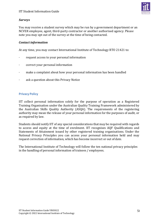

# *Surveys*

You may receive a student survey which may be run by a government department or an NCVER employee, agent, third-party contractor or another authorised agency. Please note you may opt out of the survey at the time of being contacted.

# *Contact information*

At any time, you may contact International Institute of Technology RTO 21421 to:

- · request access to your personal information
- · correct your personal information
- · make a complaint about how your personal information has been handled
- · ask a question about this Privacy Notice

# <span id="page-47-0"></span>**Privacy Policy**

IIT collect personal information solely for the purpose of operation as a Registered Training Organisation under the Australian Quality Training Framework administered by the Australian Skills Quality Authority (ASQA). The requirements of the registering authority may mean the release of your personal information for the purposes of audit, or as required by law.

Students should notify IIT of any special considerations that may be required with regards to access and equity at the time of enrolment. IIT recognises AQF Qualifications and Statements of Attainment issued by other registered training organisations. Under the National Privacy Principles you can access your personal information held and may request correction of information, which has become incorrect or out of date.

The International Institute of Technology will follow the ten national privacy principles in the handling of personal information of trainees / employees.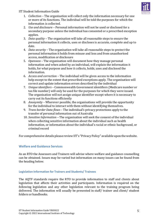

- 1. *Collection –* The organisation will collect only the information necessary for one or more of its functions. The individual will be told the purposes for which the information is collected.
- 2. *Use and disclosure –* Personal information will not be used or disclosed for a secondary purpose unless the individual has consented or a prescribed exception applies.
- 3. *Data quality –* The organisation will take all reasonable steps to ensure the personal information it collects, uses or discloses is accurate, complete and up to date.
- 4. *Data security –* The organisation will take all reasonable steps to protect the personal information it holds from misuse and loss and from unauthorised access, modification or disclosure
- 5. *Openness –* The organisation will document how they manage personal information and when asked by an individual, will explain the information it holds, for what purpose and how it collects, holds, uses and disclosed the information.
- 6. *Access and correction –* The individual will be given access to the information help except to the extent that prescribed exceptions apply. The organisation will correct and update information errors described by the individual
- 7. *Unique identifiers –* Commonwealth Government identifiers (Medicare number or tax file number) will only be used for the purposes for which they were issued. The organisation will not assign unique identifier except where it is necessary to carry out its functions efficiently
- 8. *Anonymity –* Wherever possible, the organisations will provide the opportunity for the individual to interact with them without identifying themselves.
- 9. *Trans border Data flows –* The individual's privacy protections apply to the transfer of personal information out of Australia
- 10. *Sensitive Information –* The organisation will seek the consent of the individual when collecting sensitive information about the individual such as health information, or information about the individual's racial or ethnic background, or criminal record

For comprehensive details please reviewIIT's "Privacy Policy" available upon thewebsite.

# <span id="page-48-0"></span>**Welfare and Guidance Services**

As an RTO the Assessors and Trainers will advise where welfare and guidance counselling can be obtained. Issues may be varied but information on many issues can be found from the heading below.

# <span id="page-48-1"></span>**Legislation Information for Trainers and Students/ Trainees**

The AQTF standards require the RTO to provide information to staff and clients about legislation that affects their activities and participants. Information is required on the following legislation and any other legislation relevant to the training program being delivered. The information will usually be presented in staff/ trainer and client/ student folders or handbooks.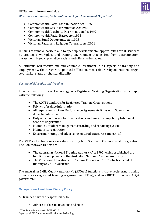#### *Workplace Harassment, Victimisation and Equal Employment Opportunity*



- Commonwealth Racial Discrimination Act 1975
- Commonwealth Sex Discrimination Act 1984
- Commonwealth Disability Discrimination Act 1992
- Commonwealth Racial Hatred Act 1995
- Victorian Equal Opportunity Act 1995
- Victorian Racial and Religious Tolerance Act 2001

IIT aims to remove barriers and to open up developmental opportunities for all students by creating a workplace and training environment that is free from discrimination, harassment, bigotry, prejudice, racism and offensive behaviour.

All students will receive fair and equitable treatment in all aspects of training and employment without regard to political affiliation, race, colour, religion, national origin, sex, marital status or physical disability.

# *Vocational Education and Training*

International Institute of Technology as a Registered Training Organisation will comply with the following:

- The AQTF Standards for Registered Training Organisations
- Privacy of trainee information
- All requirements of any Performance Agreements it has with Government departments or bodies
- Only issue credentials for qualifications and units of competency listed on its Scope of Registration
- Maintain a student management recording and reporting system
- Maintain its registration
- Ensure marketing and advertising material is accurate and ethical

The VET sector framework is established by both State and Commonwealth legislation. The Commonwealth Acts are:

- The Australian National Training Authority Act 1992, which established the functions and powers of the Australian National Training Authority
- The Vocational Education and Training Finding Act 1992 which sets out the funding of VET in Australia

The Australian Skills Quality Authority's (ASQA's) functions include registering training providers as registered training organisations (RTOs), and as CRICOS providers. ASQA governs VET.

# <span id="page-49-0"></span>**Occupational Health and Safety Policy**

All trainees have the responsibility to:

• Adhere to class instructions and rules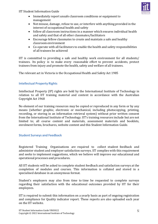

- Immediately report unsafe classroom conditions or equipment to management
- Not misuse, damage, refuse to use, or interfere with anything provided in the interest of occupational health and safety
- follow all classroom instructions in a manner which ensures individual health and safety and that of all other classmates/facilitators
- Encourage fellow classmates to create and maintain a safe and healthy classroom environment
- Co-operate with all facilitators to enable the health and safety responsibilities of all trainees be achieved

IIT is committed to providing a safe and healthy work environment for all students/ trainees. Its policy is to make every reasonable effort to prevent accidents, protect trainees from injury and promote the health, safety and welfare of all trainees.

The relevant act in Victoria is the Occupational Health and Safety Act 1985

# <span id="page-50-0"></span>**Intellectual Property Rights**

Intellectual Property (IP) rights are held by the International Institute of Technology in relation to all IIT training material and content in accordance with the Australian Copyright Act 1968

No element of our training resources may be copied or reproduced in any form or by any means (whether graphic, electronic or mechanical, including photocopying, printing, recording, or storing in an information retrieval system) without prior written consent from the International Institute of Technology. IIT's training resources include but are not limited to; all course content and materials, assessment materials and booklets, enrolment forms, brochures, website content and this Student Information Guide.

# <span id="page-50-1"></span>**Student Surveys and Feedback**

Registered Training Organisations are required to collect student feedback and administer student and employer satisfaction surveys. IIT complies with this requirement and seeks to implement suggestions, which we believe will improve our educational and operational processes and procedures.

All IIT students will be asked to complete student feedback and satisfaction surveys at the completion of modules and courses. This information is collated and stored in a specialised database in an anonymous format.

Student's employers may also from time to time be requested to complete surveys regarding their satisfaction with the educational outcomes provided by IIT for their employees.

IIT is required to submit this information on a yearly basis as part of ongoing registration and compliance for Quality indicator report. These reports are also uploaded each year on the IIT website.